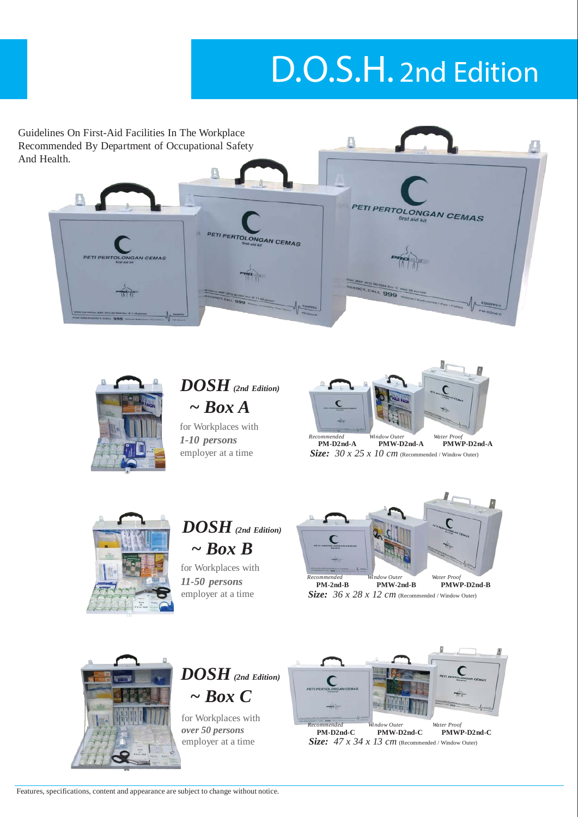## D.O.S.H. 2nd Edition

Guidelines On First-Aid Facilities In The Workplace Д Recommended By Department of Occupational Safety And Health. **PETI PERTOLONGAN CEMAS PETI PERTOLONGAN CEMAS Box JEEP, GPID BOZOOA BOX 5** 



*DOSH (2nd Edition) ~ Box A*

for Workplaces with *1-10 persons Recommended*



**PM-D2nd-A PMW-D2nd-A PMWP-D2nd-A** employer at a time *Size: 30 x 25 x 10 cm* (Recommended / Window Outer)



*DOSH (2nd Edition) ~ Box B*

for Workplaces with *11-50 persons Recommended*



**PM-2nd-B PMW-2nd-B** *Water Proof* **PMWP-D2nd-B** employer at a time *Size: 36 x 28 x 12 cm* (Recommended / Window Outer)





for Workplaces with *over 50 persons*<br>employer at a time



**PM-D2nd-C PMW-D2nd-C** *Water Proof* **PMWP-D2nd-C**  $Size: 47 x 34 x 13 cm$  (Recommended / Window Outer)